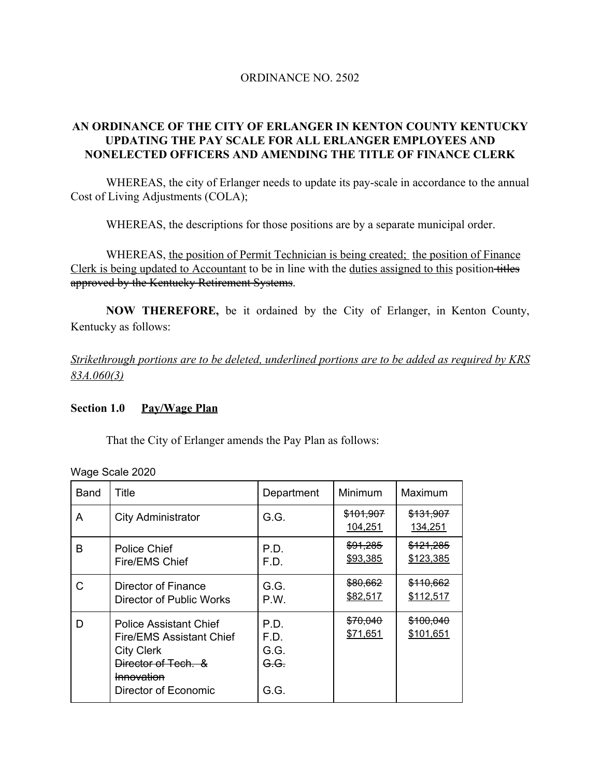### ORDINANCE NO. 2502

## **AN ORDINANCE OF THE CITY OF ERLANGER IN KENTON COUNTY KENTUCKY UPDATING THE PAY SCALE FOR ALL ERLANGER EMPLOYEES AND NONELECTED OFFICERS AND AMENDING THE TITLE OF FINANCE CLERK**

WHEREAS, the city of Erlanger needs to update its pay-scale in accordance to the annual Cost of Living Adjustments (COLA);

WHEREAS, the descriptions for those positions are by a separate municipal order.

WHEREAS, the position of Permit Technician is being created; the position of Finance Clerk is being updated to Accountant to be in line with the duties assigned to this position titles approved by the Kentucky Retirement Systems.

**NOW THEREFORE,** be it ordained by the City of Erlanger, in Kenton County, Kentucky as follows:

*Strikethrough portions are to be deleted, underlined portions are to be added as required by KRS 83A.060(3)*

### **Section 1.0 Pay/Wage Plan**

That the City of Erlanger amends the Pay Plan as follows:

| <b>Band</b> | Title                                                                                                                                                     | Department                                      | Minimum                         | Maximum                |
|-------------|-----------------------------------------------------------------------------------------------------------------------------------------------------------|-------------------------------------------------|---------------------------------|------------------------|
| A           | <b>City Administrator</b>                                                                                                                                 | G.G.                                            | <del>\$101,907</del><br>104,251 | \$131,907<br>134,251   |
| В           | <b>Police Chief</b><br>Fire/EMS Chief                                                                                                                     | P.D.<br>F.D.                                    | \$91,285<br>\$93,385            | \$121,285<br>\$123,385 |
| C           | Director of Finance<br>Director of Public Works                                                                                                           | G.G.<br>P.W.                                    | \$80,662<br>\$82,517            | \$110,662<br>\$112,517 |
| D           | <b>Police Assistant Chief</b><br><b>Fire/EMS Assistant Chief</b><br><b>City Clerk</b><br>Director of Tech. &<br><b>Innovation</b><br>Director of Economic | P.D.<br>F.D.<br>G.G.<br><del>G.G.</del><br>G.G. | \$70,040<br>\$71,651            | \$100,040<br>\$101,651 |

Wage Scale 2020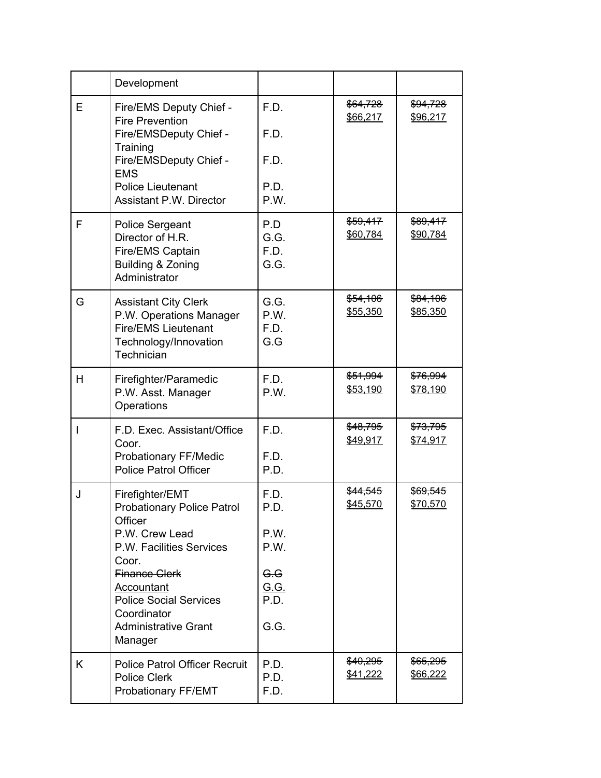|   | Development                                                                                                   |                             |                      |                                 |
|---|---------------------------------------------------------------------------------------------------------------|-----------------------------|----------------------|---------------------------------|
| Е | Fire/EMS Deputy Chief -<br><b>Fire Prevention</b>                                                             | F.D.                        | \$64,728<br>\$66,217 | \$94,728<br>\$96,217            |
|   | Fire/EMSDeputy Chief -<br>Training                                                                            | F.D.                        |                      |                                 |
|   | Fire/EMSDeputy Chief -<br><b>EMS</b>                                                                          | F.D.                        |                      |                                 |
|   | <b>Police Lieutenant</b><br><b>Assistant P.W. Director</b>                                                    | P.D.<br>P.W.                |                      |                                 |
| F | <b>Police Sergeant</b><br>Director of H.R.<br>Fire/EMS Captain<br>Building & Zoning<br>Administrator          | P.D<br>G.G.<br>F.D.<br>G.G. | \$59,417<br>\$60,784 | \$89,417<br>\$90,784            |
| G | <b>Assistant City Clerk</b><br>P.W. Operations Manager<br><b>Fire/EMS Lieutenant</b><br>Technology/Innovation | G.G.<br>P.W.<br>F.D.<br>G.G | \$54,106<br>\$55,350 | \$84,106<br>\$85,350            |
|   | Technician                                                                                                    |                             |                      |                                 |
| H | Firefighter/Paramedic<br>P.W. Asst. Manager<br>Operations                                                     | F.D.<br>P.W.                | \$51,994<br>\$53,190 | \$76,994<br>\$78,190            |
| I | F.D. Exec. Assistant/Office<br>Coor.                                                                          | F.D.                        | \$48,795<br>\$49,917 | \$73,795<br>\$74,917            |
|   | Probationary FF/Medic<br><b>Police Patrol Officer</b>                                                         | F.D.<br>P.D.                |                      |                                 |
| J | Firefighter/EMT<br><b>Probationary Police Patrol</b><br>Officer                                               | F.D.<br>P.D                 | \$44,545<br>\$45,570 | <del>\$69,545</del><br>\$70,570 |
|   | P.W. Crew Lead<br>P.W. Facilities Services<br>Coor.                                                           | P.W.<br>P.W.                |                      |                                 |
|   | <b>Finance Clerk</b><br><b>Accountant</b>                                                                     | G.G<br><u>G.G.</u>          |                      |                                 |
|   | <b>Police Social Services</b><br>Coordinator                                                                  | P.D.                        |                      |                                 |
|   | <b>Administrative Grant</b><br>Manager                                                                        | G.G.                        |                      |                                 |
| K | <b>Police Patrol Officer Recruit</b><br><b>Police Clerk</b><br>Probationary FF/EMT                            | P.D.<br>P.D.<br>F.D.        | \$40,295<br>\$41,222 | <del>\$65,295</del><br>\$66,222 |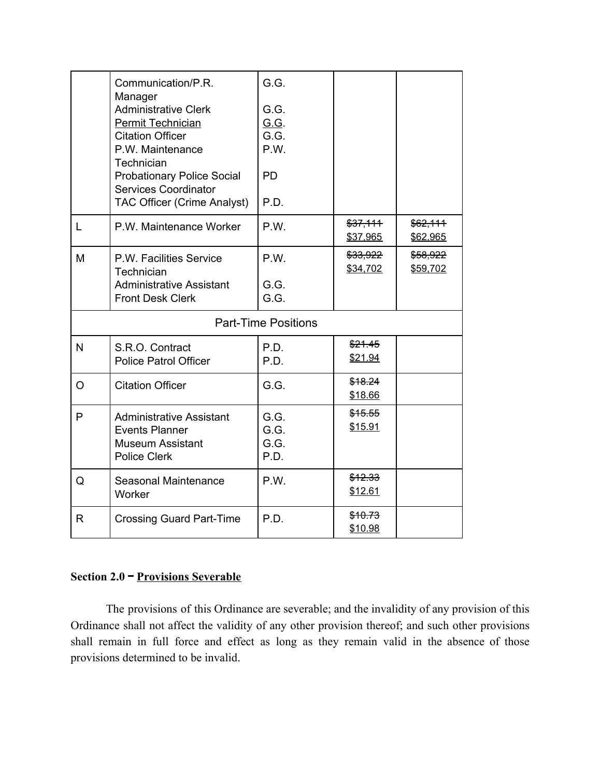|                            | Communication/P.R.<br>Manager<br><b>Administrative Clerk</b><br><b>Permit Technician</b><br><b>Citation Officer</b><br>P.W. Maintenance<br>Technician<br><b>Probationary Police Social</b><br><b>Services Coordinator</b><br><b>TAC Officer (Crime Analyst)</b> | G.G.<br>G.G.<br>G.G.<br>G.G.<br>P.W.<br><b>PD</b><br>P.D. |                      |                      |  |  |
|----------------------------|-----------------------------------------------------------------------------------------------------------------------------------------------------------------------------------------------------------------------------------------------------------------|-----------------------------------------------------------|----------------------|----------------------|--|--|
| L                          | P.W. Maintenance Worker                                                                                                                                                                                                                                         | P.W.                                                      | \$37,111<br>\$37,965 | \$62,111<br>\$62,965 |  |  |
| M                          | P.W. Facilities Service<br>Technician<br><b>Administrative Assistant</b><br><b>Front Desk Clerk</b>                                                                                                                                                             | P.W.<br>G.G.<br>G.G.                                      | \$33,922<br>\$34,702 | \$58,922<br>\$59,702 |  |  |
| <b>Part-Time Positions</b> |                                                                                                                                                                                                                                                                 |                                                           |                      |                      |  |  |
| N                          | S.R.O. Contract<br><b>Police Patrol Officer</b>                                                                                                                                                                                                                 | P.D.<br>P.D.                                              | \$21.45<br>\$21.94   |                      |  |  |
| $\circ$                    | <b>Citation Officer</b>                                                                                                                                                                                                                                         | G.G.                                                      | \$18.24<br>\$18.66   |                      |  |  |
| P                          | Administrative Assistant<br><b>Events Planner</b><br><b>Museum Assistant</b><br>Police Clerk                                                                                                                                                                    | G.G.<br>G.G.<br>G.G.<br>P.D.                              | \$15.55<br>\$15.91   |                      |  |  |
| Q                          | Seasonal Maintenance<br>Worker                                                                                                                                                                                                                                  | P.W.                                                      | \$12.33<br>\$12.61   |                      |  |  |
| R                          | <b>Crossing Guard Part-Time</b>                                                                                                                                                                                                                                 | P.D.                                                      | \$10.73<br>\$10.98   |                      |  |  |

## **Section 2.0 – Provisions Severable**

The provisions of this Ordinance are severable; and the invalidity of any provision of this Ordinance shall not affect the validity of any other provision thereof; and such other provisions shall remain in full force and effect as long as they remain valid in the absence of those provisions determined to be invalid.